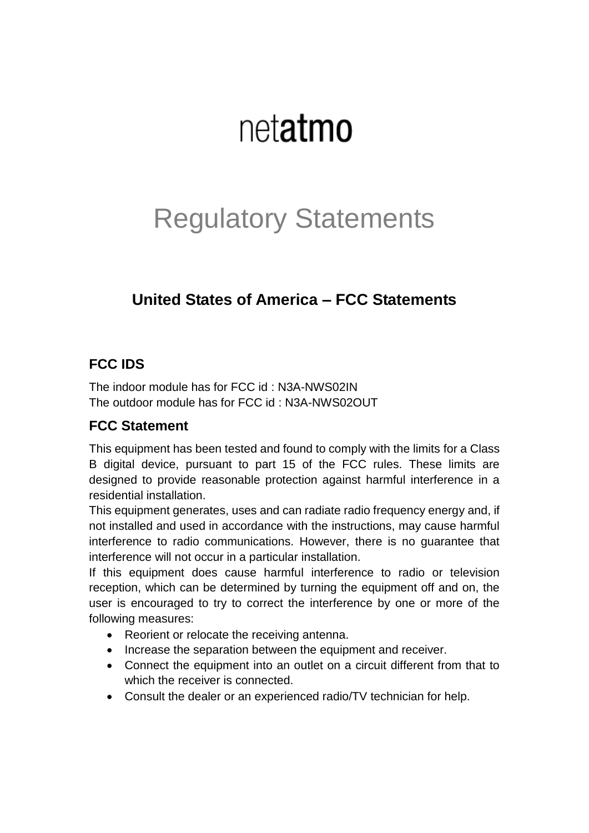# netatmo

## Regulatory Statements

### **United States of America – FCC Statements**

#### **FCC IDS**

The indoor module has for FCC id : N3A-NWS02IN The outdoor module has for FCC id : N3A-NWS02OUT

#### **FCC Statement**

This equipment has been tested and found to comply with the limits for a Class B digital device, pursuant to part 15 of the FCC rules. These limits are designed to provide reasonable protection against harmful interference in a residential installation.

This equipment generates, uses and can radiate radio frequency energy and, if not installed and used in accordance with the instructions, may cause harmful interference to radio communications. However, there is no guarantee that interference will not occur in a particular installation.

If this equipment does cause harmful interference to radio or television reception, which can be determined by turning the equipment off and on, the user is encouraged to try to correct the interference by one or more of the following measures:

- Reorient or relocate the receiving antenna.
- Increase the separation between the equipment and receiver.
- Connect the equipment into an outlet on a circuit different from that to which the receiver is connected.
- Consult the dealer or an experienced radio/TV technician for help.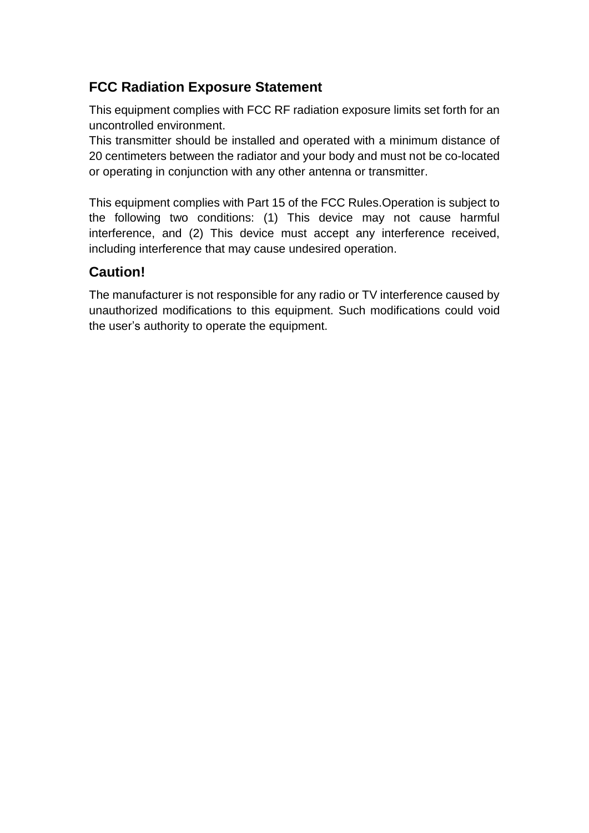#### **FCC Radiation Exposure Statement**

This equipment complies with FCC RF radiation exposure limits set forth for an uncontrolled environment.

This transmitter should be installed and operated with a minimum distance of 20 centimeters between the radiator and your body and must not be co-located or operating in conjunction with any other antenna or transmitter.

This equipment complies with Part 15 of the FCC Rules.Operation is subject to the following two conditions: (1) This device may not cause harmful interference, and (2) This device must accept any interference received, including interference that may cause undesired operation.

#### **Caution!**

The manufacturer is not responsible for any radio or TV interference caused by unauthorized modifications to this equipment. Such modifications could void the user's authority to operate the equipment.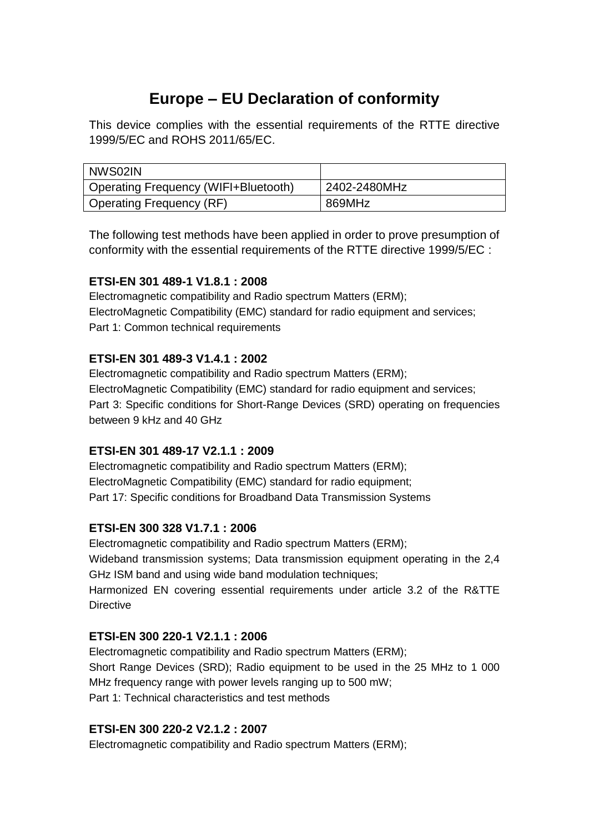### **Europe – EU Declaration of conformity**

This device complies with the essential requirements of the RTTE directive 1999/5/EC and ROHS 2011/65/EC.

| NWS02IN                                     |              |
|---------------------------------------------|--------------|
| <b>Operating Frequency (WIFI+Bluetooth)</b> | 2402-2480MHz |
| <b>Operating Frequency (RF)</b>             | 869MHz       |

The following test methods have been applied in order to prove presumption of conformity with the essential requirements of the RTTE directive 1999/5/EC :

#### **ETSI-EN 301 489-1 V1.8.1 : 2008**

Electromagnetic compatibility and Radio spectrum Matters (ERM); ElectroMagnetic Compatibility (EMC) standard for radio equipment and services; Part 1: Common technical requirements

#### **ETSI-EN 301 489-3 V1.4.1 : 2002**

Electromagnetic compatibility and Radio spectrum Matters (ERM); ElectroMagnetic Compatibility (EMC) standard for radio equipment and services; Part 3: Specific conditions for Short-Range Devices (SRD) operating on frequencies between 9 kHz and 40 GHz

#### **ETSI-EN 301 489-17 V2.1.1 : 2009**

Electromagnetic compatibility and Radio spectrum Matters (ERM); ElectroMagnetic Compatibility (EMC) standard for radio equipment; Part 17: Specific conditions for Broadband Data Transmission Systems

#### **ETSI-EN 300 328 V1.7.1 : 2006**

Electromagnetic compatibility and Radio spectrum Matters (ERM); Wideband transmission systems; Data transmission equipment operating in the 2,4 GHz ISM band and using wide band modulation techniques; Harmonized EN covering essential requirements under article 3.2 of the R&TTE **Directive** 

#### **ETSI-EN 300 220-1 V2.1.1 : 2006**

Electromagnetic compatibility and Radio spectrum Matters (ERM); Short Range Devices (SRD); Radio equipment to be used in the 25 MHz to 1 000 MHz frequency range with power levels ranging up to 500 mW; Part 1: Technical characteristics and test methods

#### **ETSI-EN 300 220-2 V2.1.2 : 2007**

Electromagnetic compatibility and Radio spectrum Matters (ERM);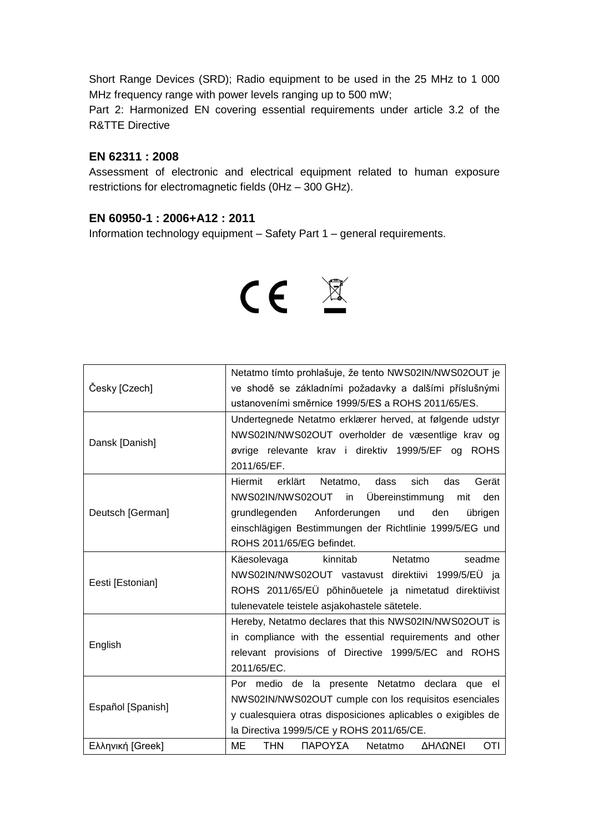Short Range Devices (SRD); Radio equipment to be used in the 25 MHz to 1 000 MHz frequency range with power levels ranging up to 500 mW;

Part 2: Harmonized EN covering essential requirements under article 3.2 of the R&TTE Directive

#### **EN 62311 : 2008**

Assessment of electronic and electrical equipment related to human exposure restrictions for electromagnetic fields (0Hz – 300 GHz).

#### **EN 60950-1 : 2006+A12 : 2011**

Information technology equipment – Safety Part 1 – general requirements.



|                   | Netatmo tímto prohlašuje, že tento NWS02IN/NWS02OUT je       |
|-------------------|--------------------------------------------------------------|
| Česky [Czech]     | ve shodě se základními požadavky a dalšími příslušnými       |
|                   | ustanoveními směrnice 1999/5/ES a ROHS 2011/65/ES.           |
|                   | Undertegnede Netatmo erklærer herved, at følgende udstyr     |
| Dansk [Danish]    | NWS02IN/NWS02OUT overholder de væsentlige krav og            |
|                   | øvrige relevante krav i direktiv 1999/5/EF og ROHS           |
|                   | 2011/65/EF.                                                  |
|                   | Hiermit<br>erklärt<br>Netatmo, dass<br>sich<br>das<br>Gerät  |
|                   | NWS02IN/NWS02OUT in Übereinstimmung<br>den<br>mit            |
| Deutsch [German]  | Anforderungen<br>und<br>grundlegenden<br>den<br>übrigen      |
|                   | einschlägigen Bestimmungen der Richtlinie 1999/5/EG und      |
|                   | ROHS 2011/65/EG befindet.                                    |
| Eesti [Estonian]  | kinnitab Netatmo<br>seadme<br>Käesolevaga                    |
|                   | NWS02IN/NWS02OUT vastavust direktiivi 1999/5/EÜ ja           |
|                   | ROHS 2011/65/EÜ põhinõuetele ja nimetatud direktiivist       |
|                   | tulenevatele teistele asjakohastele sätetele.                |
| English           | Hereby, Netatmo declares that this NWS02IN/NWS02OUT is       |
|                   | in compliance with the essential requirements and other      |
|                   | relevant provisions of Directive 1999/5/EC and ROHS          |
|                   | 2011/65/EC.                                                  |
| Español [Spanish] | Por medio de la presente Netatmo declara que el              |
|                   | NWS02IN/NWS02OUT cumple con los requisitos esenciales        |
|                   | y cualesquiera otras disposiciones aplicables o exigibles de |
|                   | la Directiva 1999/5/CE y ROHS 2011/65/CE.                    |
| Ελληνική [Greek]  | ME<br><b>THN</b><br>ΠΑΡΟΥΣΑ<br>ΔΗΛΩΝΕΙ<br>OTI<br>Netatmo     |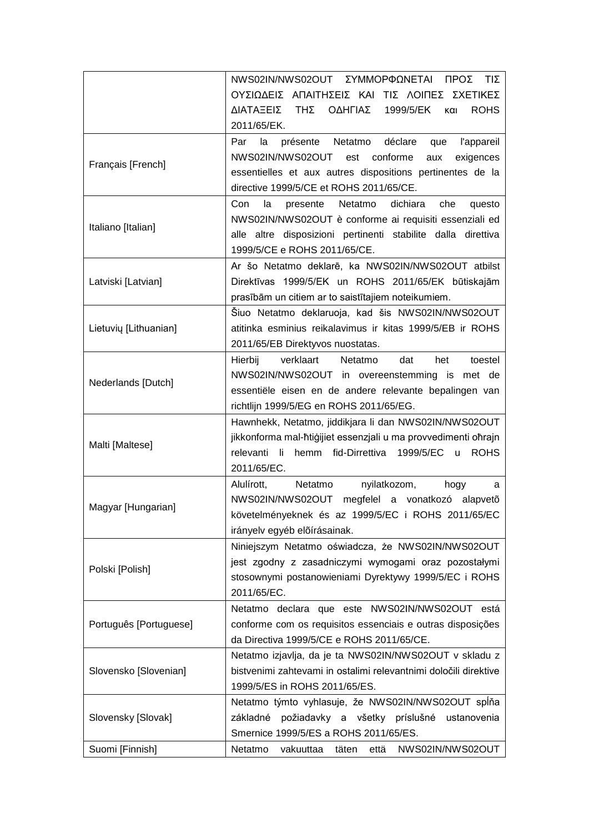|                        | NWS02IN/NWS02OUT  ΣΥΜΜΟΡΦΩΝΕΤΑΙ ΠΡΟΣ<br>$TI\Sigma$                                   |
|------------------------|--------------------------------------------------------------------------------------|
|                        | ΟΥΣΙΩΔΕΙΣ ΑΠΑΙΤΗΣΕΙΣ ΚΑΙ ΤΙΣ ΛΟΙΠΕΣ ΣΧΕΤΙΚΕΣ                                         |
|                        | ΔΙΑΤΑΞΕΙΣ ΤΗΣ<br>ΟΔΗΓΙΑΣ<br>1999/5/EK<br>και<br><b>ROHS</b>                          |
|                        | 2011/65/EK.                                                                          |
|                        | l'appareil<br>Par<br>la<br>présente<br>Netatmo<br>déclare<br>que                     |
|                        | NWS02IN/NWS02OUT est<br>conforme<br>exigences<br>aux                                 |
| Français [French]      | essentielles et aux autres dispositions pertinentes de la                            |
|                        | directive 1999/5/CE et ROHS 2011/65/CE.                                              |
|                        | Con<br>la<br>dichiara<br>presente Netatmo<br>che<br>questo                           |
| Italiano [Italian]     | NWS02IN/NWS02OUT è conforme ai requisiti essenziali ed                               |
|                        |                                                                                      |
|                        | alle altre disposizioni pertinenti stabilite dalla direttiva                         |
|                        | 1999/5/CE e ROHS 2011/65/CE.                                                         |
|                        | Ar šo Netatmo deklarē, ka NWS02IN/NWS02OUT atbilst                                   |
| Latviski [Latvian]     | Direktīvas 1999/5/EK un ROHS 2011/65/EK būtiskajām                                   |
|                        | prasībām un citiem ar to saistītajiem noteikumiem.                                   |
|                        | Šiuo Netatmo deklaruoja, kad šis NWS02IN/NWS02OUT                                    |
| Lietuvių [Lithuanian]  | atitinka esminius reikalavimus ir kitas 1999/5/EB ir ROHS                            |
|                        | 2011/65/EB Direktyvos nuostatas.                                                     |
|                        | Hierbij<br>verklaart<br>Netatmo<br>dat<br>het<br>toestel                             |
|                        | NWS02IN/NWS02OUT in overeenstemming is met de                                        |
| Nederlands [Dutch]     | essentiële eisen en de andere relevante bepalingen van                               |
|                        | richtlijn 1999/5/EG en ROHS 2011/65/EG.                                              |
|                        | Hawnhekk, Netatmo, jiddikjara li dan NWS02IN/NWS02OUT                                |
|                        | jikkonforma mal-ħtiģijiet essenzjali u ma provvedimenti oħrajn                       |
| Malti [Maltese]        | relevanti<br>hemm fid-Dirrettiva<br>1999/5/EC<br>- li<br><b>ROHS</b><br>$\mathsf{u}$ |
|                        | 2011/65/EC.                                                                          |
|                        | nyilatkozom,<br>Alulírott,<br>Netatmo<br>hogy<br>a                                   |
|                        | NWS02IN/NWS02OUT<br>megfelel a vonatkozó alapvető                                    |
| Magyar [Hungarian]     | követelményeknek és az 1999/5/EC i ROHS 2011/65/EC                                   |
|                        | irányelv egyéb előírásainak.                                                         |
|                        | Niniejszym Netatmo oświadcza, że NWS02IN/NWS02OUT                                    |
|                        | jest zgodny z zasadniczymi wymogami oraz pozostałymi                                 |
| Polski [Polish]        | stosownymi postanowieniami Dyrektywy 1999/5/EC i ROHS                                |
|                        | 2011/65/EC.                                                                          |
|                        |                                                                                      |
|                        | Netatmo declara que este NWS02IN/NWS02OUT está                                       |
| Português [Portuguese] | conforme com os requisitos essenciais e outras disposições                           |
|                        | da Directiva 1999/5/CE e ROHS 2011/65/CE.                                            |
| Slovensko [Slovenian]  | Netatmo izjavlja, da je ta NWS02IN/NWS02OUT v skladu z                               |
|                        | bistvenimi zahtevami in ostalimi relevantnimi določili direktive                     |
|                        | 1999/5/ES in ROHS 2011/65/ES.                                                        |
|                        | Netatmo týmto vyhlasuje, že NWS02IN/NWS02OUT spĺňa                                   |
| Slovensky [Slovak]     | požiadavky a všetky príslušné<br>základné<br>ustanovenia                             |
|                        | Smernice 1999/5/ES a ROHS 2011/65/ES.                                                |
| Suomi [Finnish]        | NWS02IN/NWS02OUT<br>Netatmo<br>vakuuttaa<br>täten<br>että                            |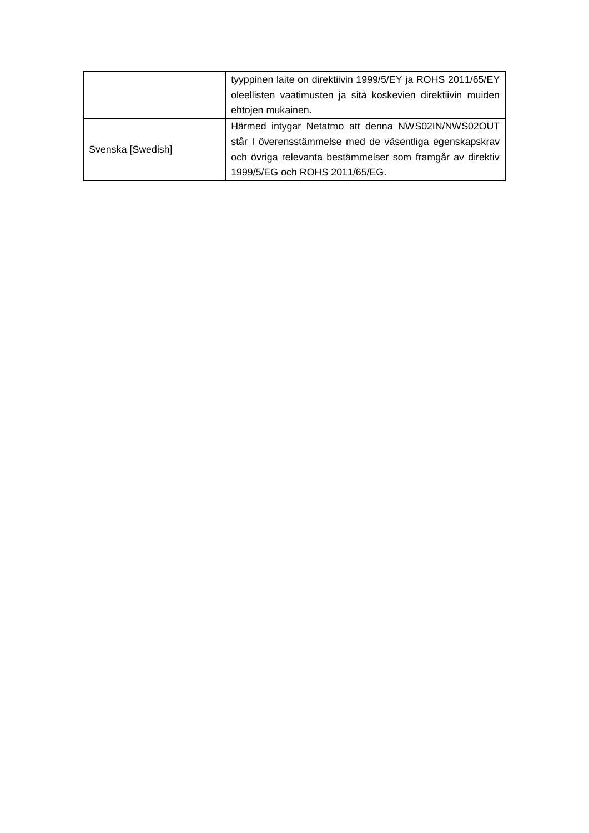|                   | tyyppinen laite on direktiivin 1999/5/EY ja ROHS 2011/65/EY  |  |
|-------------------|--------------------------------------------------------------|--|
|                   | oleellisten vaatimusten ja sitä koskevien direktiivin muiden |  |
|                   | ehtojen mukainen.                                            |  |
| Svenska [Swedish] | Härmed intygar Netatmo att denna NWS02IN/NWS02OUT            |  |
|                   | står I överensstämmelse med de väsentliga egenskapskrav      |  |
|                   | och övriga relevanta bestämmelser som framgår av direktiv    |  |
|                   | 1999/5/EG och ROHS 2011/65/EG.                               |  |